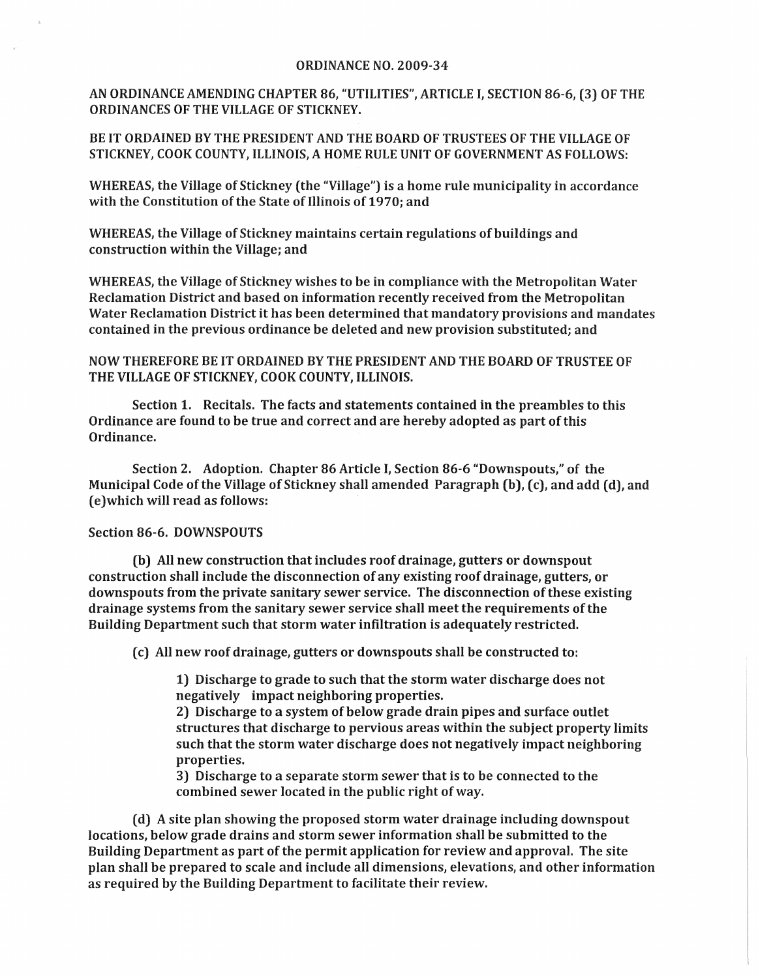## ORDINANCE NO. 2009-34

AN ORDINANCE AMENDING CHAPTER 86, "UTILITIES", ARTICLE I, SECTION 86-6, (3) OF THE ORDINANCES OF THE VILLAGE OF STICKNEY.

BE IT ORDAINED BY THE PRESIDENT AND THE BOARD OF TRUSTEES OF THE VILLAGE OF STICKNEY, COOK COUNTY, ILLINOIS, A HOME RULE UNIT OF GOVERNMENT AS FOLLOWS:

WHEREAS, the Village of Stickney (the "Village") is a home rule municipality in accordance with the Constitution of the State of Illinois of 1970; and

WHEREAS, the Village of Stickney maintains certain regulations of buildings and construction within the Village; and

WHEREAS, the Village of Stickney wishes to be in compliance with the Metropolitan Water Reclamation District and based on information recently received from the Metropolitan Water Reclamation District it has been determined that mandatory provisions and mandates contained in the previous ordinance be deleted and new provision substituted; and

NOW THEREFORE BE IT ORDAINED BY THE PRESIDENT AND THE BOARD OF TRUSTEE OF THE VILLAGE OF STICKNEY, COOK COUNTY, ILLINOIS.

Section 1. Recitals. The facts and statements contained in the preambles to this Ordinance are found to be true and correct and are hereby adopted as part of this Ordinance.

Section 2. Adoption. Chapter 86 Article I, Section 86-6 "Downspouts," of the Municipal Code of the Village of Stickney shall amended Paragraph (b), (c), and add (d), and (e) which will read as follows:

## Section 86-6. DOWNSPOUTS

(b) All new construction that includes roof drainage, gutters or downspout construction shall include the disconnection of any existing roof drainage, gutters, or downspouts from the private sanitary sewer service. The disconnection of these existing drainage systems from the sanitary sewer service shall meet the requirements of the Building Department such that storm water infiltration is adequately restricted.

(c) All new roof drainage, gutters or downspouts shall be constructed to:

1) Discharge to grade to such that the storm water discharge does not negatively impact neighboring properties.

2) Discharge to a system of below grade drain pipes and surface outlet structures that discharge to pervious areas within the subject property limits such that the storm water discharge does not negatively impact neighboring properties.

3) Discharge to a separate storm sewer that is to be connected to the combined sewer located in the public right of way.

(d) A site plan showing the proposed storm water drainage including downspout locations, below grade drains and storm sewer information shall be submitted to the Building Department as part of the permit application for review and approval. The site plan shall be prepared to scale and include all dimensions, elevations, and other information as required by the Building Department to facilitate their review.